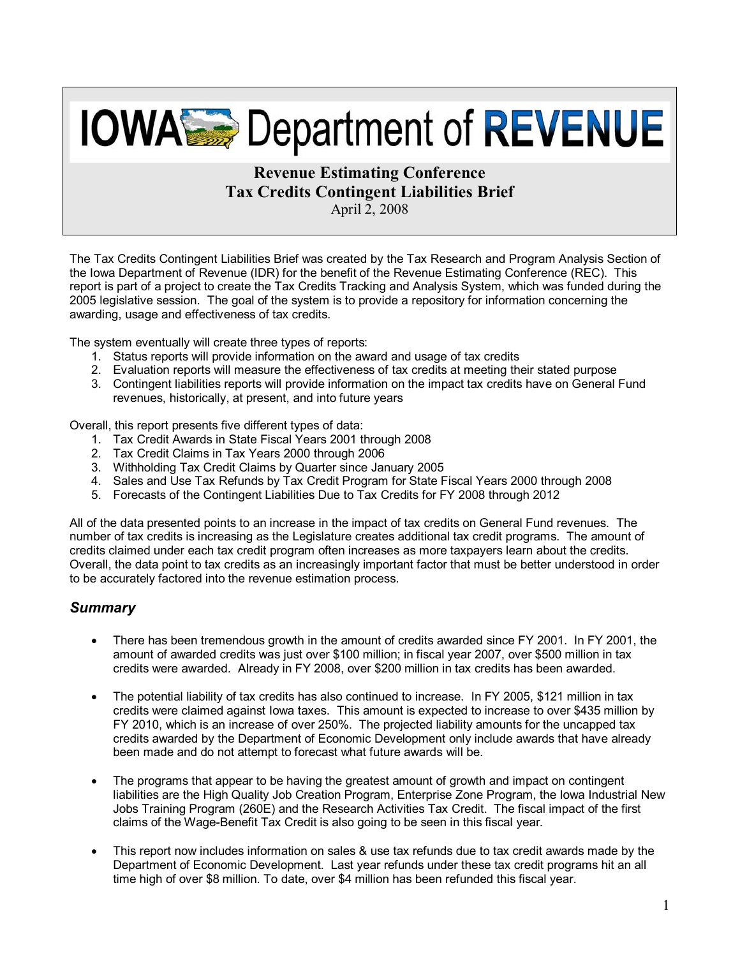# **IOWAS Department of REVENUE**

#### **Revenue Estimating Conference Tax Credits Contingent Liabilities Brief**  April 2, 2008

The Tax Credits Contingent Liabilities Brief was created by the Tax Research and Program Analysis Section of the Iowa Department of Revenue (IDR) for the benefit of the Revenue Estimating Conference (REC). This report is part of a project to create the Tax Credits Tracking and Analysis System, which was funded during the 2005 legislative session. The goal of the system is to provide a repository for information concerning the awarding, usage and effectiveness of tax credits.

The system eventually will create three types of reports:

- 1. Status reports will provide information on the award and usage of tax credits
- 2. Evaluation reports will measure the effectiveness of tax credits at meeting their stated purpose
- 3. Contingent liabilities reports will provide information on the impact tax credits have on General Fund revenues, historically, at present, and into future years

Overall, this report presents five different types of data:

- 1. Tax Credit Awards in State Fiscal Years 2001 through 2008
- 2. Tax Credit Claims in Tax Years 2000 through 2006
- 3. Withholding Tax Credit Claims by Quarter since January 2005
- 4. Sales and Use Tax Refunds by Tax Credit Program for State Fiscal Years 2000 through 2008
- 5. Forecasts of the Contingent Liabilities Due to Tax Credits for FY 2008 through 2012

All of the data presented points to an increase in the impact of tax credits on General Fund revenues. The number of tax credits is increasing as the Legislature creates additional tax credit programs. The amount of credits claimed under each tax credit program often increases as more taxpayers learn about the credits. Overall, the data point to tax credits as an increasingly important factor that must be better understood in order to be accurately factored into the revenue estimation process.

#### *Summary*

- There has been tremendous growth in the amount of credits awarded since FY 2001. In FY 2001, the amount of awarded credits was just over \$100 million; in fiscal year 2007, over \$500 million in tax credits were awarded. Already in FY 2008, over \$200 million in tax credits has been awarded.
- The potential liability of tax credits has also continued to increase. In FY 2005, \$121 million in tax credits were claimed against Iowa taxes. This amount is expected to increase to over \$435 million by FY 2010, which is an increase of over 250%. The projected liability amounts for the uncapped tax credits awarded by the Department of Economic Development only include awards that have already been made and do not attempt to forecast what future awards will be.
- The programs that appear to be having the greatest amount of growth and impact on contingent liabilities are the High Quality Job Creation Program, Enterprise Zone Program, the Iowa Industrial New Jobs Training Program (260E) and the Research Activities Tax Credit. The fiscal impact of the first claims of the Wage-Benefit Tax Credit is also going to be seen in this fiscal year.
- This report now includes information on sales & use tax refunds due to tax credit awards made by the Department of Economic Development. Last year refunds under these tax credit programs hit an all time high of over \$8 million. To date, over \$4 million has been refunded this fiscal year.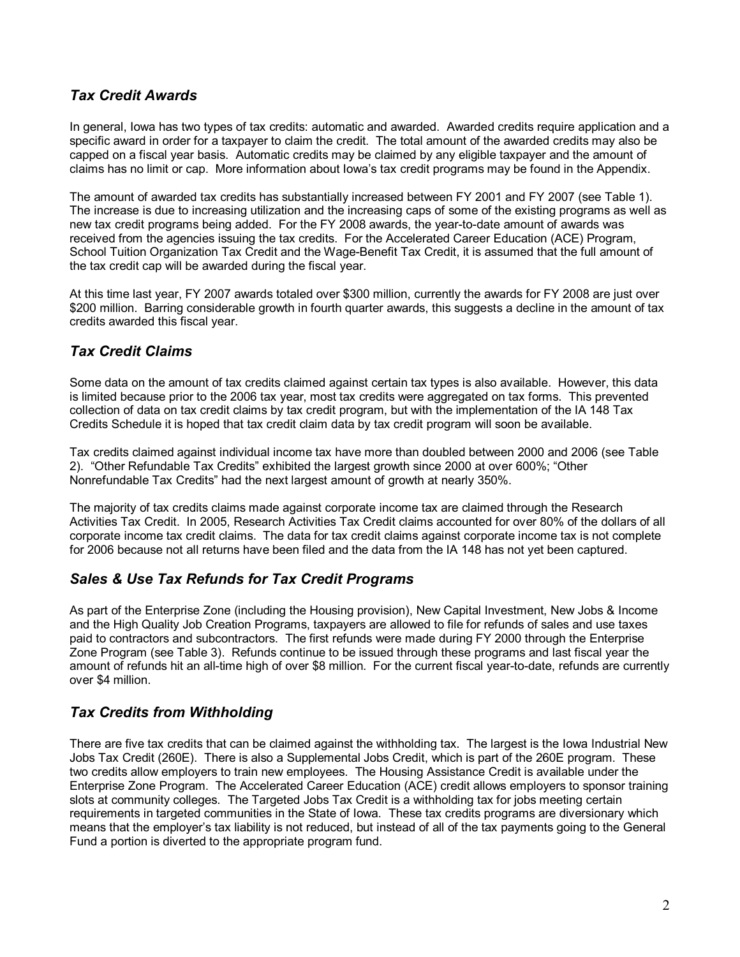#### *Tax Credit Awards*

In general, Iowa has two types of tax credits: automatic and awarded. Awarded credits require application and a specific award in order for a taxpayer to claim the credit. The total amount of the awarded credits may also be capped on a fiscal year basis. Automatic credits may be claimed by any eligible taxpayer and the amount of claims has no limit or cap. More information about Iowa's tax credit programs may be found in the Appendix.

The amount of awarded tax credits has substantially increased between FY 2001 and FY 2007 (see Table 1). The increase is due to increasing utilization and the increasing caps of some of the existing programs as well as new tax credit programs being added. For the FY 2008 awards, the year-to-date amount of awards was received from the agencies issuing the tax credits. For the Accelerated Career Education (ACE) Program, School Tuition Organization Tax Credit and the Wage-Benefit Tax Credit, it is assumed that the full amount of the tax credit cap will be awarded during the fiscal year.

At this time last year, FY 2007 awards totaled over \$300 million, currently the awards for FY 2008 are just over \$200 million. Barring considerable growth in fourth quarter awards, this suggests a decline in the amount of tax credits awarded this fiscal year.

#### *Tax Credit Claims*

Some data on the amount of tax credits claimed against certain tax types is also available. However, this data is limited because prior to the 2006 tax year, most tax credits were aggregated on tax forms. This prevented collection of data on tax credit claims by tax credit program, but with the implementation of the IA 148 Tax Credits Schedule it is hoped that tax credit claim data by tax credit program will soon be available.

Tax credits claimed against individual income tax have more than doubled between 2000 and 2006 (see Table 2). "Other Refundable Tax Credits" exhibited the largest growth since 2000 at over 600%; "Other Nonrefundable Tax Credits" had the next largest amount of growth at nearly 350%.

The majority of tax credits claims made against corporate income tax are claimed through the Research Activities Tax Credit. In 2005, Research Activities Tax Credit claims accounted for over 80% of the dollars of all corporate income tax credit claims. The data for tax credit claims against corporate income tax is not complete for 2006 because not all returns have been filed and the data from the IA 148 has not yet been captured.

#### *Sales & Use Tax Refunds for Tax Credit Programs*

As part of the Enterprise Zone (including the Housing provision), New Capital Investment, New Jobs & Income and the High Quality Job Creation Programs, taxpayers are allowed to file for refunds of sales and use taxes paid to contractors and subcontractors. The first refunds were made during FY 2000 through the Enterprise Zone Program (see Table 3). Refunds continue to be issued through these programs and last fiscal year the amount of refunds hit an all-time high of over \$8 million. For the current fiscal year-to-date, refunds are currently over \$4 million.

#### *Tax Credits from Withholding*

There are five tax credits that can be claimed against the withholding tax. The largest is the Iowa Industrial New Jobs Tax Credit (260E). There is also a Supplemental Jobs Credit, which is part of the 260E program. These two credits allow employers to train new employees. The Housing Assistance Credit is available under the Enterprise Zone Program. The Accelerated Career Education (ACE) credit allows employers to sponsor training slots at community colleges. The Targeted Jobs Tax Credit is a withholding tax for jobs meeting certain requirements in targeted communities in the State of Iowa. These tax credits programs are diversionary which means that the employer's tax liability is not reduced, but instead of all of the tax payments going to the General Fund a portion is diverted to the appropriate program fund.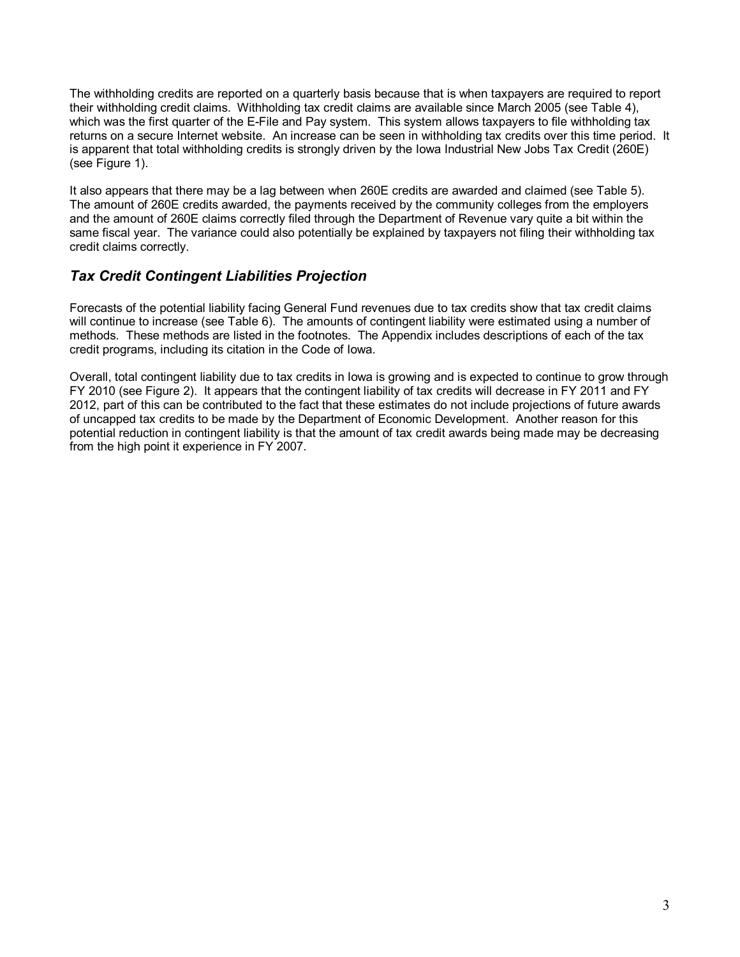The withholding credits are reported on a quarterly basis because that is when taxpayers are required to report their withholding credit claims. Withholding tax credit claims are available since March 2005 (see Table 4), which was the first quarter of the E-File and Pay system. This system allows taxpayers to file withholding tax returns on a secure Internet website. An increase can be seen in withholding tax credits over this time period. It is apparent that total withholding credits is strongly driven by the Iowa Industrial New Jobs Tax Credit (260E) (see Figure 1).

It also appears that there may be a lag between when 260E credits are awarded and claimed (see Table 5). The amount of 260E credits awarded, the payments received by the community colleges from the employers and the amount of 260E claims correctly filed through the Department of Revenue vary quite a bit within the same fiscal year. The variance could also potentially be explained by taxpayers not filing their withholding tax credit claims correctly.

#### *Tax Credit Contingent Liabilities Projection*

Forecasts of the potential liability facing General Fund revenues due to tax credits show that tax credit claims will continue to increase (see Table 6). The amounts of contingent liability were estimated using a number of methods. These methods are listed in the footnotes. The Appendix includes descriptions of each of the tax credit programs, including its citation in the Code of Iowa.

Overall, total contingent liability due to tax credits in Iowa is growing and is expected to continue to grow through FY 2010 (see Figure 2). It appears that the contingent liability of tax credits will decrease in FY 2011 and FY 2012, part of this can be contributed to the fact that these estimates do not include projections of future awards of uncapped tax credits to be made by the Department of Economic Development. Another reason for this potential reduction in contingent liability is that the amount of tax credit awards being made may be decreasing from the high point it experience in FY 2007.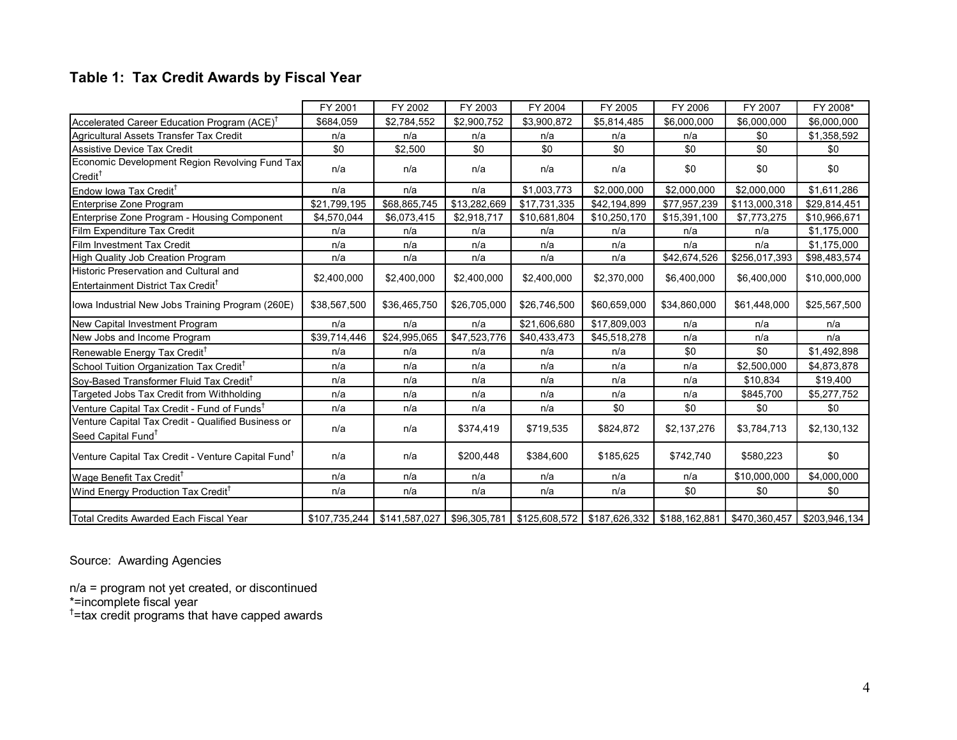## **Table 1: Tax Credit Awards by Fiscal Year**

|                                                                                          | FY 2001      | FY 2002                       | FY 2003      | FY 2004      | FY 2005      | FY 2006      | FY 2007                                                                      | FY 2008*      |
|------------------------------------------------------------------------------------------|--------------|-------------------------------|--------------|--------------|--------------|--------------|------------------------------------------------------------------------------|---------------|
| Accelerated Career Education Program (ACE) <sup>T</sup>                                  | \$684,059    | \$2,784,552                   | \$2,900,752  | \$3,900,872  | \$5,814,485  | \$6,000,000  | \$6,000,000                                                                  | \$6,000,000   |
| Agricultural Assets Transfer Tax Credit                                                  | n/a          | n/a                           | n/a          | n/a          | n/a          | n/a          | \$0                                                                          | \$1,358,592   |
| Assistive Device Tax Credit                                                              | \$0          | \$2,500                       | \$0          | \$0          | \$0          | \$0          | \$0                                                                          | \$0           |
| Economic Development Region Revolving Fund Tax<br>$Credit^{\dagger}$                     | n/a          | n/a                           | n/a          | n/a          | n/a          | \$0          | \$0                                                                          | \$0           |
| Endow Iowa Tax Credit <sup>†</sup>                                                       | n/a          | n/a                           | n/a          | \$1,003,773  | \$2,000,000  | \$2,000,000  | \$2,000,000                                                                  | \$1,611,286   |
| Enterprise Zone Program                                                                  | \$21,799,195 | \$68,865,745                  | \$13.282.669 | \$17,731,335 | \$42,194,899 | \$77,957,239 | \$113,000,318                                                                | \$29,814,451  |
| Enterprise Zone Program - Housing Component                                              | \$4,570,044  | \$6,073,415                   | \$2,918,717  | \$10,681,804 | \$10,250,170 | \$15,391,100 | \$7,773,275                                                                  | \$10,966,671  |
| Film Expenditure Tax Credit                                                              | n/a          | n/a                           | n/a          | n/a          | n/a          | n/a          | n/a                                                                          | \$1,175,000   |
| Film Investment Tax Credit                                                               | n/a          | n/a                           | n/a          | n/a          | n/a          | n/a          | n/a                                                                          | \$1,175,000   |
| High Quality Job Creation Program                                                        | n/a          | n/a                           | n/a          | n/a          | n/a          | \$42,674,526 | \$256,017,393                                                                | \$98,483,574  |
| Historic Preservation and Cultural and<br>Entertainment District Tax Credit <sup>T</sup> | \$2,400,000  | \$2,400,000                   | \$2,400,000  | \$2,400,000  | \$2,370,000  | \$6,400,000  | \$6,400,000                                                                  | \$10,000,000  |
| lowa Industrial New Jobs Training Program (260E)                                         | \$38,567,500 | \$36,465,750                  | \$26,705,000 | \$26,746,500 | \$60,659,000 | \$34,860,000 | \$61,448,000                                                                 | \$25,567,500  |
| New Capital Investment Program                                                           | n/a          | n/a                           | n/a          | \$21,606,680 | \$17,809,003 | n/a          | n/a                                                                          | n/a           |
| New Jobs and Income Program                                                              | \$39,714,446 | \$24,995,065                  | \$47,523,776 | \$40,433,473 | \$45,518,278 | n/a          | n/a                                                                          | n/a           |
| Renewable Energy Tax Credit <sup>1</sup>                                                 | n/a          | n/a                           | n/a          | n/a          | n/a          | \$0          | \$0                                                                          | \$1,492,898   |
| School Tuition Organization Tax Credit <sup>†</sup>                                      | n/a          | n/a                           | n/a          | n/a          | n/a          | n/a          | \$2,500,000                                                                  | \$4,873,878   |
| Soy-Based Transformer Fluid Tax Credit <sup>†</sup>                                      | n/a          | n/a                           | n/a          | n/a          | n/a          | n/a          | \$10,834                                                                     | \$19,400      |
| Targeted Jobs Tax Credit from Withholding                                                | n/a          | n/a                           | n/a          | n/a          | n/a          | n/a          | \$845,700                                                                    | \$5,277,752   |
| Venture Capital Tax Credit - Fund of Funds <sup>T</sup>                                  | n/a          | n/a                           | n/a          | n/a          | \$0          | \$0          | \$0                                                                          | \$0           |
| Venture Capital Tax Credit - Qualified Business or<br>Seed Capital Fund <sup>t</sup>     | n/a          | n/a                           | \$374,419    | \$719,535    | \$824,872    | \$2,137,276  | \$3,784,713                                                                  | \$2,130,132   |
| Venture Capital Tax Credit - Venture Capital Fund <sup>†</sup>                           | n/a          | n/a                           | \$200,448    | \$384,600    | \$185,625    | \$742,740    | \$580,223                                                                    | \$0           |
| Wage Benefit Tax Credit <sup>T</sup>                                                     | n/a          | n/a                           | n/a          | n/a          | n/a          | n/a          | \$10,000,000                                                                 | \$4,000,000   |
| Wind Energy Production Tax Credit <sup>†</sup>                                           | n/a          | n/a                           | n/a          | n/a          | n/a          | \$0          | \$0                                                                          | \$0           |
|                                                                                          |              |                               |              |              |              |              |                                                                              |               |
| Total Credits Awarded Each Fiscal Year                                                   |              | $$107,735,244$ $$141,587,027$ |              |              |              |              | \$96,305,781   \$125,608,572   \$187,626,332   \$188,162,881   \$470,360,457 | \$203,946,134 |

Source: Awarding Agencies

n/a = program not yet created, or discontinued

\*=incomplete fiscal year<br><sup>†</sup>=tax credit programs that have capped awards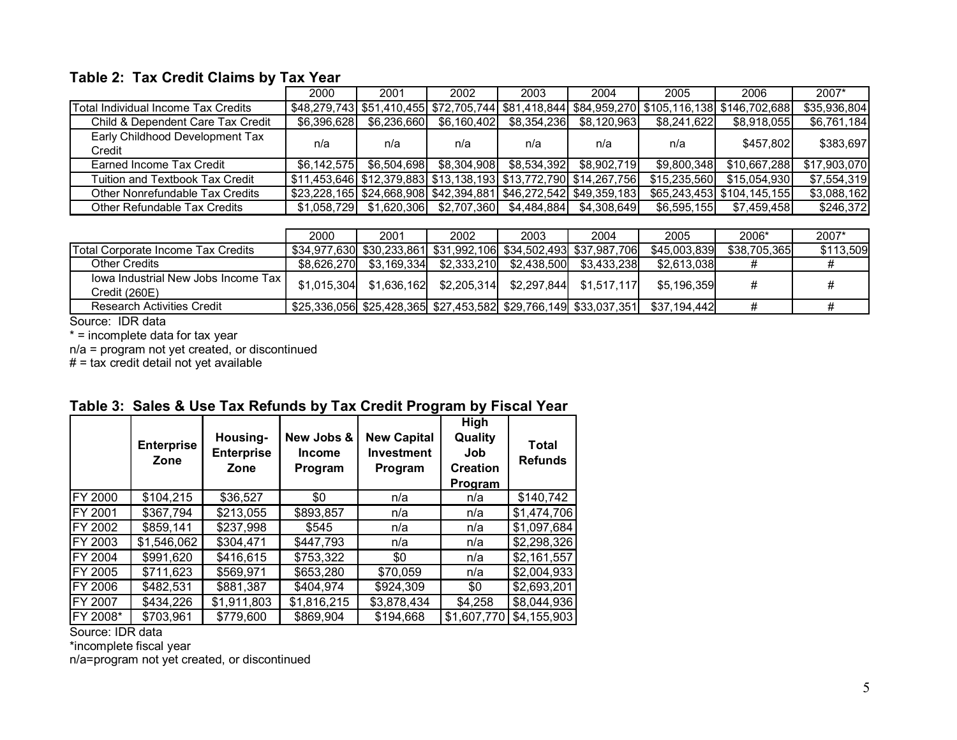#### **Table 2: Tax Credit Claims by Tax Year**

|                                           | 2000        | 2001        | 2002                                                             | 2003        | 2004        | 2005         | 2006                                                                                         | $2007*$      |
|-------------------------------------------|-------------|-------------|------------------------------------------------------------------|-------------|-------------|--------------|----------------------------------------------------------------------------------------------|--------------|
| Total Individual Income Tax Credits       |             |             |                                                                  |             |             |              | \$48,279,743 \$51,410,455 \$72,705,744 \$81,418,844 \$84,959,270 \$105,116,138 \$146,702,688 | \$35,936,804 |
| Child & Dependent Care Tax Credit         | \$6,396,628 | \$6.236.660 | \$6.160.402                                                      | \$8,354,236 | \$8.120.963 | \$8.241.622  | \$8,918,055                                                                                  | \$6,761,184  |
| Early Childhood Development Tax<br>Credit | n/a         | n/a         | n/a                                                              | n/a         | n/a         | n/a          | \$457.802                                                                                    | \$383,697    |
| Earned Income Tax Credit                  | \$6.142.575 | \$6,504,698 | \$8,304,908                                                      | \$8,534,392 | \$8,902,719 | \$9.800.348  | \$10,667,288                                                                                 | \$17,903,070 |
| Tuition and Textbook Tax Credit           |             |             | \$11,453,646 \$12,379,883 \$13,138,193 \$13,772,790 \$14,267,756 |             |             | \$15,235,560 | \$15,054,930                                                                                 | \$7,554,319  |
| Other Nonrefundable Tax Credits           |             |             | \$23,228,165 \$24,668,908 \$42,394,881 \$46,272,542 \$49,359,183 |             |             |              | \$65.243.453 \$104.145.155                                                                   | \$3,088,162  |
| Other Refundable Tax Credits              | \$1.058.729 | \$1,620,306 | \$2,707,360                                                      | \$4,484,884 | \$4,308,649 | \$6,595,155  | \$7,459,458                                                                                  | \$246,372    |

|                                     | 2000        | 2001        | 2002        | 2003        | 2004                                                             | 2005         | 2006*        | 2007*     |
|-------------------------------------|-------------|-------------|-------------|-------------|------------------------------------------------------------------|--------------|--------------|-----------|
| Total Corporate Income Tax Credits  |             |             |             |             | \$34,977,630 \$30,233,861 \$31,992,106 \$34,502,493 \$37,987,706 | \$45,003,839 | \$38,705,365 | \$113,509 |
| <b>Other Credits</b>                | \$8.626.270 | \$3.169.334 | \$2,333,210 | \$2.438.500 | \$3.433.238                                                      | \$2,613,038  | #            |           |
| Jowa Industrial New Jobs Income Tax | \$1.015.304 | \$1,636,162 | \$2,205,314 |             | $$2,297,844$ $$1,517,117$                                        | \$5.196.359  | #            |           |
| Credit (260E)                       |             |             |             |             |                                                                  |              |              |           |
| <b>Research Activities Credit</b>   |             |             |             |             | \$25,336,056 \$25,428,365 \$27,453,582 \$29,766,149 \$33,037,351 | \$37.194.442 | #            |           |

Source: IDR data

\* = incomplete data for tax year

n/a = program not yet created, or discontinued

# = tax credit detail not yet available

|                | <b>Enterprise</b><br>Zone | Housing-<br><b>Enterprise</b><br>Zone | New Jobs &<br><b>Income</b><br>Program | <b>New Capital</b><br><b>Investment</b><br>Program | High<br>Quality<br>Job<br><b>Creation</b><br>Program | <b>Total</b><br><b>Refunds</b> |
|----------------|---------------------------|---------------------------------------|----------------------------------------|----------------------------------------------------|------------------------------------------------------|--------------------------------|
| FY 2000        | \$104,215                 | \$36,527                              | \$0                                    | n/a                                                | n/a                                                  | \$140,742                      |
| FY 2001        | \$367,794                 | \$213,055                             | \$893,857                              | n/a                                                | n/a                                                  | \$1,474,706                    |
| FY 2002        | \$859,141                 | \$237,998                             | \$545                                  | n/a                                                | n/a                                                  | \$1,097,684                    |
| <b>FY 2003</b> | \$1,546,062               | \$304,471                             | \$447,793                              | n/a                                                | n/a                                                  | \$2,298,326                    |
| FY 2004        | \$991,620                 | \$416,615                             | \$753,322                              | \$0                                                | n/a                                                  | \$2,161,557                    |
| FY 2005        | \$711,623                 | \$569,971                             | \$653,280                              | \$70,059                                           | n/a                                                  | \$2,004,933                    |
| <b>FY 2006</b> | \$482,531                 | \$881,387                             | \$404,974                              | \$924,309                                          | \$0                                                  | \$2,693,201                    |
| FY 2007        | \$434,226                 | \$1,911,803                           | \$1,816,215                            | \$3,878,434                                        | \$4,258                                              | \$8,044,936                    |
| FY 2008*       | \$703,961                 | \$779,600                             | \$869,904                              | \$194,668                                          | \$1,607,770                                          | \$4,155,903                    |

#### **Table 3: Sales & Use Tax Refunds by Tax Credit Program by Fiscal Year**

Source: IDR data

\*incomplete fiscal year

n/a=program not yet created, or discontinued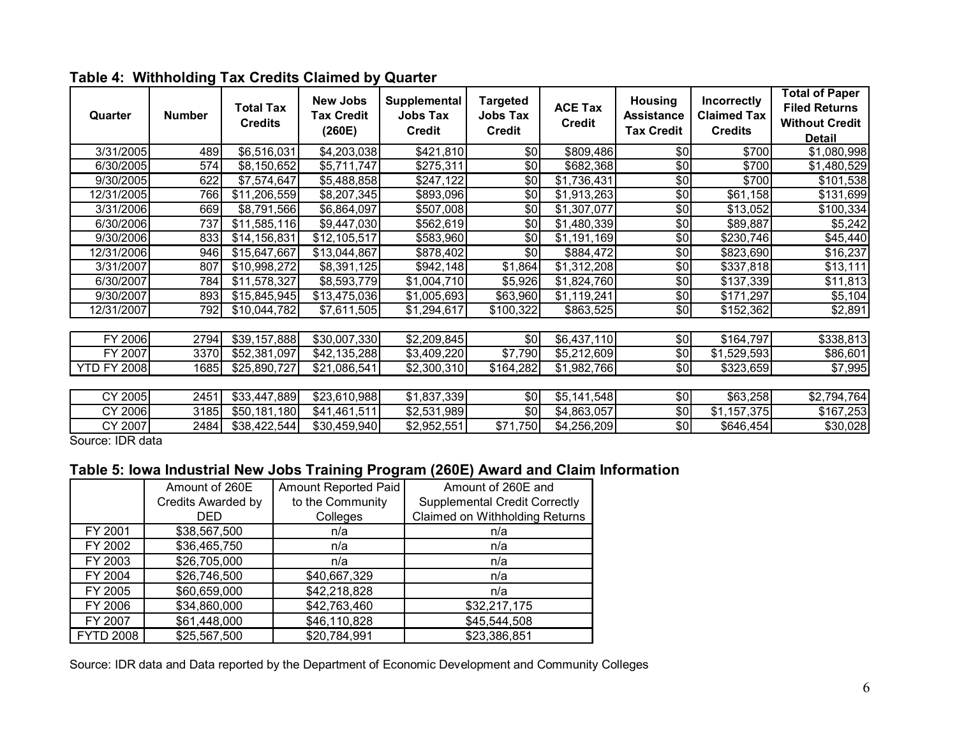| Quarter            | <b>Number</b> | <b>Total Tax</b><br><b>Credits</b> | <b>New Jobs</b><br><b>Tax Credit</b><br>(260E) | Supplemental<br><b>Jobs Tax</b><br><b>Credit</b> | <b>Targeted</b><br>Jobs Tax<br><b>Credit</b> | <b>ACE Tax</b><br><b>Credit</b> | <b>Housing</b><br><b>Assistance</b><br><b>Tax Credit</b> | Incorrectly<br><b>Claimed Tax</b><br><b>Credits</b> | <b>Total of Paper</b><br><b>Filed Returns</b><br><b>Without Credit</b><br><b>Detail</b> |
|--------------------|---------------|------------------------------------|------------------------------------------------|--------------------------------------------------|----------------------------------------------|---------------------------------|----------------------------------------------------------|-----------------------------------------------------|-----------------------------------------------------------------------------------------|
| 3/31/2005          | 489           | \$6,516,031                        | \$4,203,038                                    | \$421,810                                        | \$0                                          | \$809,486                       | \$0                                                      | \$700                                               | \$1,080,998                                                                             |
| 6/30/2005          | 574           | \$8,150,652                        | \$5,711,747                                    | \$275,311                                        | \$0                                          | \$682,368                       | \$0                                                      | \$700                                               | $\overline{$}1,480,529$                                                                 |
| 9/30/2005          | 622           | \$7,574,647                        | \$5,488,858                                    | \$247,122                                        | \$0                                          | \$1,736,431                     | \$0                                                      | \$700                                               | \$101,538                                                                               |
| 12/31/2005         | 766           | \$11,206,559                       | \$8,207,345                                    | \$893,096                                        | \$0                                          | \$1,913,263                     | \$0                                                      | \$61,158                                            | \$131,699                                                                               |
| 3/31/2006          | 669           | \$8,791,566                        | \$6,864,097                                    | \$507,008                                        | \$0                                          | \$1,307,077                     | \$0                                                      | \$13,052                                            | \$100,334                                                                               |
| 6/30/2006          | 737           | \$11,585,116                       | \$9,447,030                                    | \$562,619                                        | \$0                                          | \$1,480,339                     | \$0                                                      | \$89,887                                            | \$5,242                                                                                 |
| 9/30/2006          | 833           | \$14,156,831                       | \$12,105,517                                   | \$583,960                                        | \$0                                          | \$1,191,169                     | \$0                                                      | \$230,746                                           | \$45,440                                                                                |
| 12/31/2006         | 946           | \$15,647,667                       | \$13,044,867                                   | \$878,402                                        | $\overline{50}$                              | \$884,472                       | $\frac{6}{3}$                                            | \$823,690                                           | \$16,237                                                                                |
| 3/31/2007          | 807           | \$10,998,272                       | \$8,391,125                                    | \$942,148                                        | \$1,864                                      | \$1,312,208                     | $\sqrt{6}$                                               | \$337,818                                           | \$13,111                                                                                |
| 6/30/2007          | 784           | \$11,578,327                       | \$8,593,779                                    | \$1,004,710                                      | \$5,926                                      | \$1,824,760                     | $\frac{6}{3}$                                            | \$137,339                                           | \$11,813                                                                                |
| 9/30/2007          | 893           | \$15,845,945                       | \$13,475,036                                   | \$1,005,693                                      | \$63,960                                     | \$1,119,241                     | \$0                                                      | \$171,297                                           | \$5,104                                                                                 |
| 12/31/2007         | 792           | \$10,044,782                       | \$7,611,505                                    | \$1,294,617                                      | \$100,322                                    | \$863,525                       | \$0                                                      | \$152,362                                           | \$2,891                                                                                 |
|                    |               |                                    |                                                |                                                  |                                              |                                 |                                                          |                                                     |                                                                                         |
| FY 2006            | 2794          | \$39,157,888                       | \$30,007,330                                   | \$2,209,845                                      | \$0                                          | \$6,437,110                     | \$0                                                      | \$164,797                                           | \$338,813                                                                               |
| FY 2007            | 3370          | \$52,381,097                       | \$42,135,288                                   | \$3,409,220                                      | \$7,790                                      | \$5,212,609                     | \$0                                                      | \$1,529,593                                         | \$86,601                                                                                |
| <b>YTD FY 2008</b> | 1685          | \$25,890,727                       | \$21,086,541                                   | \$2,300,310                                      | \$164,282                                    | \$1,982,766                     | \$0                                                      | \$323,659                                           | \$7,995                                                                                 |
|                    |               |                                    |                                                |                                                  |                                              |                                 |                                                          |                                                     |                                                                                         |
| CY 2005            | 2451          | $\overline{$33,447,889}$           | \$23,610,988                                   | \$1,837,339                                      | \$0                                          | \$5,141,548                     | \$0                                                      | \$63,258                                            | \$2,794,764                                                                             |
| CY 2006            | 3185          | \$50,181,180                       | \$41,461,511                                   | \$2,531,989                                      | \$0                                          | \$4,863,057                     | \$0                                                      | \$1,157,375                                         | \$167,253                                                                               |
| CY 2007            | 2484          | \$38,422,544                       | \$30,459,940                                   | \$2,952,551                                      | \$71,750                                     | \$4,256,209                     | \$0                                                      | \$646,454                                           | \$30,028                                                                                |

#### **Table 4: Withholding Tax Credits Claimed by Quarter**

Source: IDR data

#### **Table 5: Iowa Industrial New Jobs Training Program (260E) Award and Claim Information**

|                  | Amount of 260E            | Amount Reported Paid | Amount of 260E and                   |
|------------------|---------------------------|----------------------|--------------------------------------|
|                  | <b>Credits Awarded by</b> | to the Community     | <b>Supplemental Credit Correctly</b> |
|                  | <b>DED</b>                | Colleges             | Claimed on Withholding Returns       |
| FY 2001          | \$38,567,500              | n/a                  | n/a                                  |
| FY 2002          | \$36,465,750              | n/a                  | n/a                                  |
| FY 2003          | \$26,705,000              | n/a                  | n/a                                  |
| FY 2004          | \$26,746,500              | \$40,667,329         | n/a                                  |
| FY 2005          | \$60,659,000              | \$42,218,828         | n/a                                  |
| FY 2006          | \$34,860,000              | \$42,763,460         | \$32,217,175                         |
| FY 2007          | \$61,448,000              | \$46,110,828         | \$45,544,508                         |
| <b>FYTD 2008</b> | \$25,567,500              | \$20,784,991         | \$23,386,851                         |

Source: IDR data and Data reported by the Department of Economic Development and Community Colleges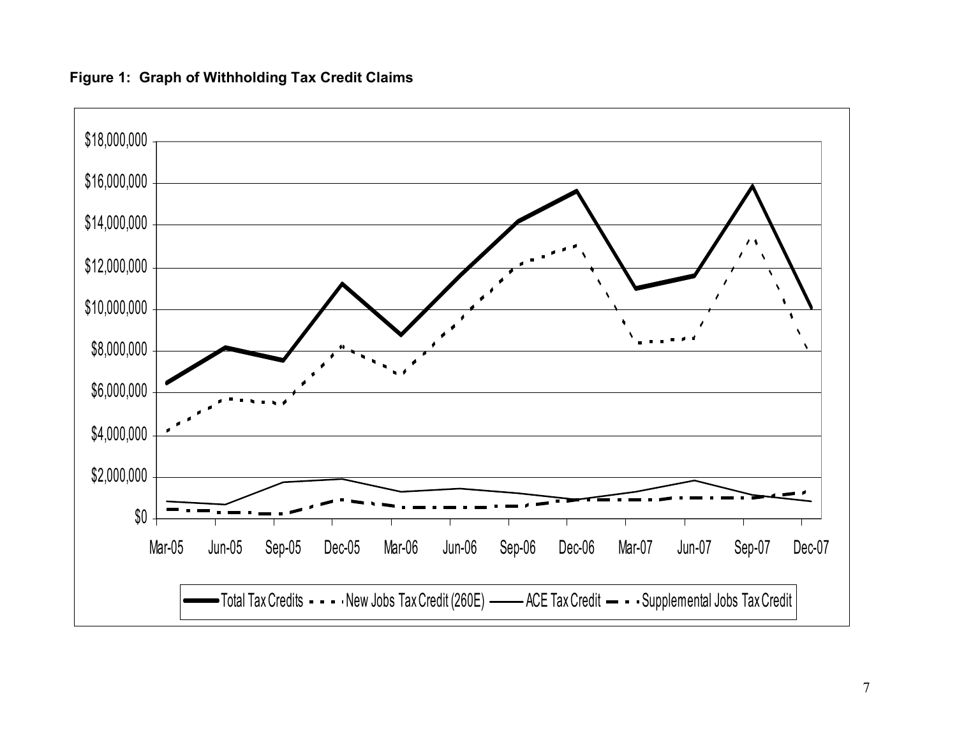# \$18,000,000 \$16,000,000 \$14,000,000  $\lambda$  $\lambda$  $\Delta$ \$12,000,000 \$10,000,000 ١ \$8,000,000 \$6,000,000 \$4,000,000 \$2,000,000 \$0 Mar-05 Jun-05 Sep-05 Dec-05 Mar-06 Jun-06 Sep-06 Dec-06 Mar-07 Jun-07 Sep-07 Dec-07 Total Tax Credits ----New Jobs Tax Credit (260E) ——— ACE Tax Credit — --Supplemental Jobs Tax Credit

# **Figure 1: Graph of Withholding Tax Credit Claims**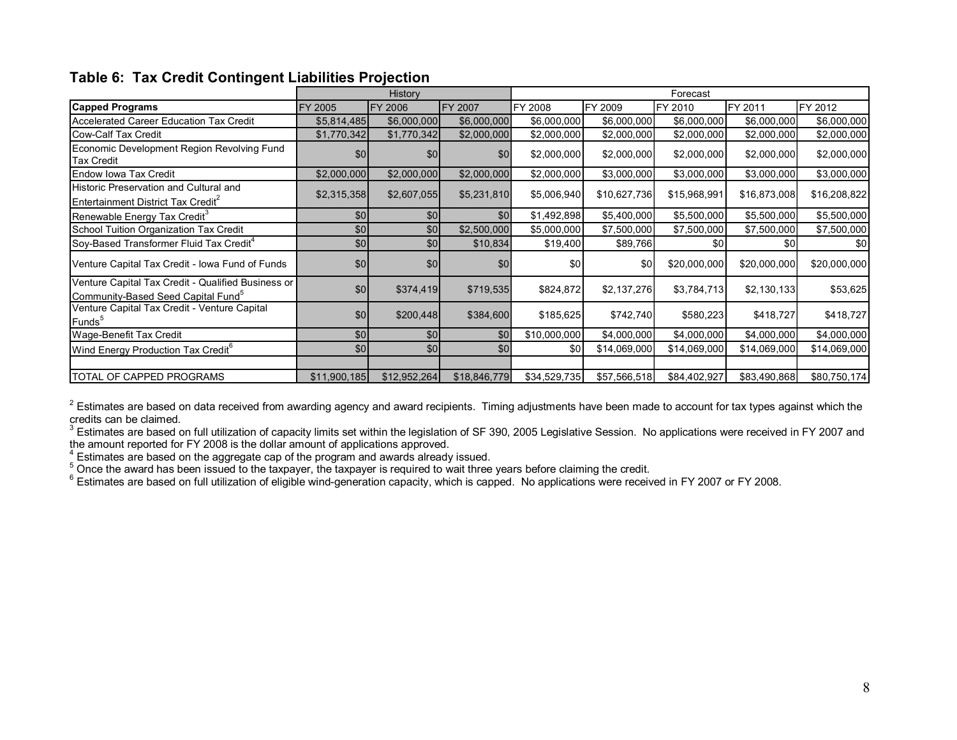|  |  | Table 6: Tax Credit Contingent Liabilities Projection |  |  |
|--|--|-------------------------------------------------------|--|--|
|--|--|-------------------------------------------------------|--|--|

|                                                                                                      |                  | History<br>Forecast |              |              |                |              |              |              |
|------------------------------------------------------------------------------------------------------|------------------|---------------------|--------------|--------------|----------------|--------------|--------------|--------------|
| <b>Capped Programs</b>                                                                               | FY 2005          | <b>FY 2006</b>      | FY 2007      | FY 2008      | <b>FY 2009</b> | FY 2010      | FY 2011      | FY 2012      |
| Accelerated Career Education Tax Credit                                                              | \$5,814,485      | \$6,000,000         | \$6,000,000  | \$6,000,000  | \$6,000,000    | \$6,000,000  | \$6,000,000  | \$6,000,000  |
| Cow-Calf Tax Credit                                                                                  | \$1,770,342      | \$1,770,342         | \$2,000,000  | \$2,000,000  | \$2,000,000    | \$2,000,000  | \$2,000,000  | \$2,000,000  |
| Economic Development Region Revolving Fund<br><b>Tax Credit</b>                                      | \$0 <sub>1</sub> | \$0                 | \$0          | \$2,000,000  | \$2,000,000    | \$2,000,000  | \$2,000,000  | \$2,000,000  |
| <b>Endow Iowa Tax Credit</b>                                                                         | \$2,000,000      | \$2,000,000         | \$2,000,000  | \$2,000,000  | \$3,000,000    | \$3,000,000  | \$3,000,000  | \$3,000,000  |
| Historic Preservation and Cultural and<br>Entertainment District Tax Credit                          | \$2,315,358      | \$2,607,055         | \$5,231,810  | \$5,006,940  | \$10,627,736   | \$15,968,991 | \$16,873,008 | \$16,208,822 |
| Renewable Energy Tax Credit <sup>3</sup>                                                             | \$0              | \$0                 | \$0          | \$1,492,898  | \$5,400,000    | \$5,500,000  | \$5,500,000  | \$5,500,000  |
| School Tuition Organization Tax Credit                                                               | \$0              | \$0                 | \$2,500,000  | \$5,000,000  | \$7,500,000    | \$7,500,000  | \$7,500,000  | \$7,500,000  |
| Soy-Based Transformer Fluid Tax Credit <sup>4</sup>                                                  | \$0              | \$0                 | \$10,834     | \$19,400     | \$89,766       | \$0          | \$0          | \$0          |
| Venture Capital Tax Credit - Iowa Fund of Funds                                                      | \$0              | \$0                 | \$0          | \$0          | \$0            | \$20,000,000 | \$20,000,000 | \$20,000,000 |
| Venture Capital Tax Credit - Qualified Business or<br>Community-Based Seed Capital Fund <sup>5</sup> | \$0              | \$374,419           | \$719,535    | \$824,872    | \$2,137,276    | \$3,784,713  | \$2,130,133  | \$53,625     |
| Venture Capital Tax Credit - Venture Capital<br>Funds <sup>5</sup>                                   | \$0              | \$200,448           | \$384,600    | \$185,625    | \$742,740      | \$580,223    | \$418,727    | \$418,727    |
| Wage-Benefit Tax Credit                                                                              | \$0              | \$0                 | \$0          | \$10,000,000 | \$4,000,000    | \$4,000,000  | \$4,000,000  | \$4,000,000  |
| Wind Energy Production Tax Credit <sup>6</sup>                                                       | \$0              | \$0                 | \$0          | \$0          | \$14,069,000   | \$14,069,000 | \$14,069,000 | \$14,069,000 |
|                                                                                                      |                  |                     |              |              |                |              |              |              |
| <b>TOTAL OF CAPPED PROGRAMS</b>                                                                      | \$11,900,185     | \$12,952,264        | \$18,846,779 | \$34,529,735 | \$57,566,518   | \$84,402,927 | \$83,490,868 | \$80,750,174 |

 $2$  Estimates are based on data received from awarding agency and award recipients. Timing adjustments have been made to account for tax types against which the credits can be claimed.

 $^3$  Estimates are based on full utilization of capacity limits set within the legislation of SF 390, 2005 Legislative Session. No applications were received in FY 2007 and the amount reported for FY 2008 is the dollar amount of applications approved.

 $4<sup>4</sup>$  Estimates are based on the aggregate cap of the program and awards already issued.

 $5$  Once the award has been issued to the taxpayer, the taxpayer is required to wait three years before claiming the credit.

 $^6$  Estimates are based on full utilization of eligible wind-generation capacity, which is capped. No applications were received in FY 2007 or FY 2008.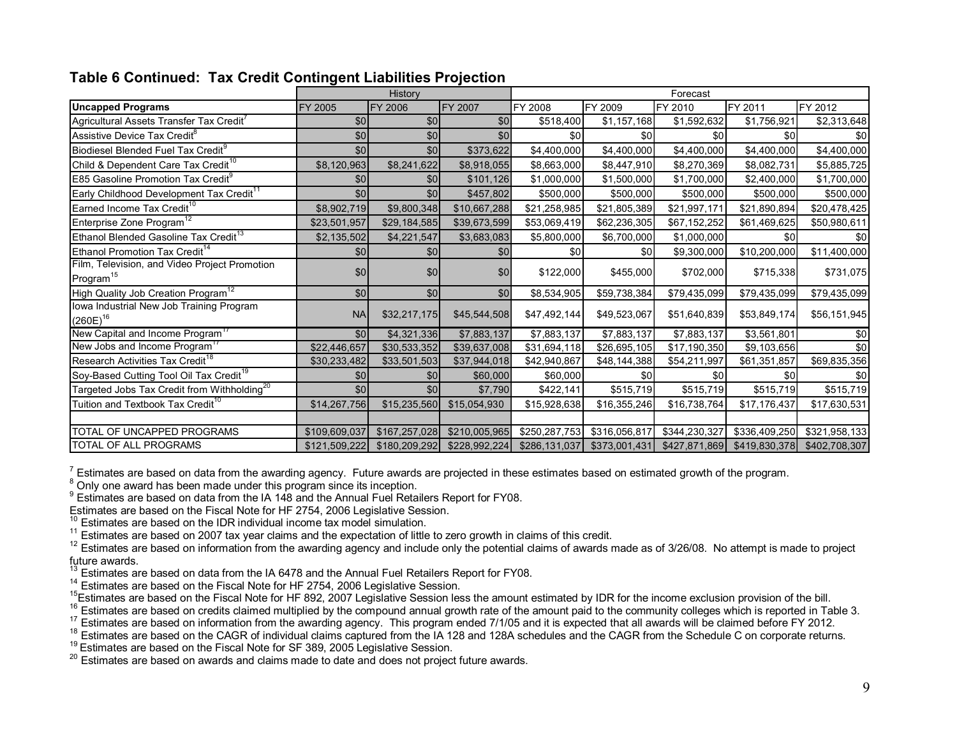|                                                         |                  | History        |                | Forecast      |               |               |               |               |  |
|---------------------------------------------------------|------------------|----------------|----------------|---------------|---------------|---------------|---------------|---------------|--|
| <b>Uncapped Programs</b>                                | FY 2005          | <b>FY 2006</b> | <b>FY 2007</b> | FY 2008       | FY 2009       | FY 2010       | FY 2011       | FY 2012       |  |
| Agricultural Assets Transfer Tax Credit                 | \$0              | \$0            | \$0            | \$518,400     | \$1,157,168   | \$1,592,632   | \$1,756,921   | \$2,313,648   |  |
| Assistive Device Tax Credit <sup>8</sup>                | \$0              | \$0            | \$0            | \$0           | \$0           | \$0           | \$0           | \$0           |  |
| Biodiesel Blended Fuel Tax Credit <sup>9</sup>          | \$0              | \$0            | \$373,622      | \$4,400,000   | \$4,400,000   | \$4,400,000   | \$4,400,000   | \$4,400,000   |  |
| Child & Dependent Care Tax Credit <sup>10</sup>         | \$8,120,963      | \$8,241,622    | \$8,918,055    | \$8,663,000   | \$8,447,910   | \$8,270,369   | \$8,082,731   | \$5,885,725   |  |
| E85 Gasoline Promotion Tax Credit®                      | \$0              | \$0            | \$101,126      | \$1,000,000   | \$1,500,000   | \$1,700,000   | \$2,400,000   | \$1,700,000   |  |
| Early Childhood Development Tax Credit <sup>11</sup>    | \$0              | \$0            | \$457,802      | \$500,000     | \$500,000     | \$500,000     | \$500,000     | \$500,000     |  |
| Earned Income Tax Credit <sup>10</sup>                  | \$8,902,719      | \$9,800,348    | \$10,667,288   | \$21,258,985  | \$21,805,389  | \$21,997,171  | \$21,890,894  | \$20,478,425  |  |
| Enterprise Zone Program <sup>12</sup>                   | \$23,501,957     | \$29,184,585   | \$39,673,599   | \$53,069,419  | \$62,236,305  | \$67,152,252  | \$61,469,625  | \$50,980,611  |  |
| Ethanol Blended Gasoline Tax Credit <sup>13</sup>       | \$2,135,502      | \$4,221,547    | \$3,683,083    | \$5,800,000   | \$6,700,000   | \$1,000,000   | \$0           |               |  |
| Ethanol Promotion Tax Credit <sup>14</sup>              | \$0              | \$0            | \$0            | \$0           | \$0           | \$9,300,000   | \$10,200,000  | \$11,400,000  |  |
| Film, Television, and Video Project Promotion           | \$0              | \$0            | \$0            |               |               |               |               |               |  |
| Program <sup>15</sup>                                   |                  |                |                | \$122,000     | \$455,000     | \$702,000     | \$715,338     | \$731,075     |  |
| High Quality Job Creation Program <sup>12</sup>         | \$0              | \$0            | \$0            | \$8,534,905   | \$59,738,384  | \$79,435,099  | \$79,435,099  | \$79,435,099  |  |
| lowa Industrial New Job Training Program                | <b>NA</b>        | \$32,217,175   |                |               | \$49,523,067  | \$51,640,839  | \$53,849,174  | \$56,151,945  |  |
| $(260E)^{16}$                                           |                  |                | \$45,544,508   | \$47,492,144  |               |               |               |               |  |
| New Capital and Income Program"                         | \$0              | \$4,321,336    | \$7,883,137    | \$7,883,137   | \$7,883,137   | \$7,883,137   | \$3,561,801   | \$0           |  |
| New Jobs and Income Program <sup>17</sup>               | \$22,446,657     | \$30,533,352   | \$39,637,008   | \$31,694,118  | \$26,695,105  | \$17,190,350  | \$9,103,656   | \$0           |  |
| Research Activities Tax Credit <sup>18</sup>            | \$30,233,482     | \$33,501,503   | \$37,944,018   | \$42,940,867  | \$48,144,388  | \$54,211,997  | \$61,351,857  | \$69,835,356  |  |
| Soy-Based Cutting Tool Oil Tax Credit <sup>19</sup>     | \$0 <sub>1</sub> | \$0            | \$60,000       | \$60,000      | \$0           | \$0           | \$0           | \$0           |  |
| Targeted Jobs Tax Credit from Withholding <sup>20</sup> | \$0              | \$0            | \$7,790        | \$422,141     | \$515,719     | \$515,719     | \$515,719     | \$515,719     |  |
| Tuition and Textbook Tax Credit <sup>10</sup>           | \$14,267,756     | \$15,235,560   | \$15,054,930   | \$15,928,638  | \$16,355,246  | \$16,738,764  | \$17,176,437  | \$17,630,531  |  |
|                                                         |                  |                |                |               |               |               |               |               |  |
| TOTAL OF UNCAPPED PROGRAMS                              | \$109,609,037    | \$167,257,028  | \$210,005,965  | \$250,287,753 | \$316,056,817 | \$344,230,327 | \$336,409,250 | \$321,958,133 |  |
| TOTAL OF ALL PROGRAMS                                   | \$121,509,222    | \$180,209,292  | \$228,992,224  | \$286,131,037 | \$373,001,431 | \$427,871,869 | \$419,830,378 | \$402,708,307 |  |

## **Table 6 Continued: Tax Credit Contingent Liabilities Projection**

<sup>7</sup> Estimates are based on data from the awarding agency. Future awards are projected in these estimates based on estimated growth of the program.  $8$  Only one award has been made under this program since its inception.

<sup>9</sup> Estimates are based on data from the IA 148 and the Annual Fuel Retailers Report for FY08.

Estimates are based on the Fiscal Note for HF 2754, 2006 Legislative Session.<br><sup>10</sup> Estimates are based on the IDR individual income tax model simulation.

 $11$  Estimates are based on 2007 tax year claims and the expectation of little to zero growth in claims of this credit.<br> $12$  Estimates are based on information from the awarding agency and include only the potential claim future awards.

<sup>13</sup> Estimates are based on data from the IA 6478 and the Annual Fuel Retailers Report for FY08.

<sup>14</sup> Estimates are based on the Fiscal Note for HF 2754, 2006 Legislative Session.<br><sup>15</sup>Estimates are based on the Fiscal Note for HF 892, 2007 Legislative Session.<br><sup>15</sup>Estimates are based on the Fiscal Note for HF 892, 20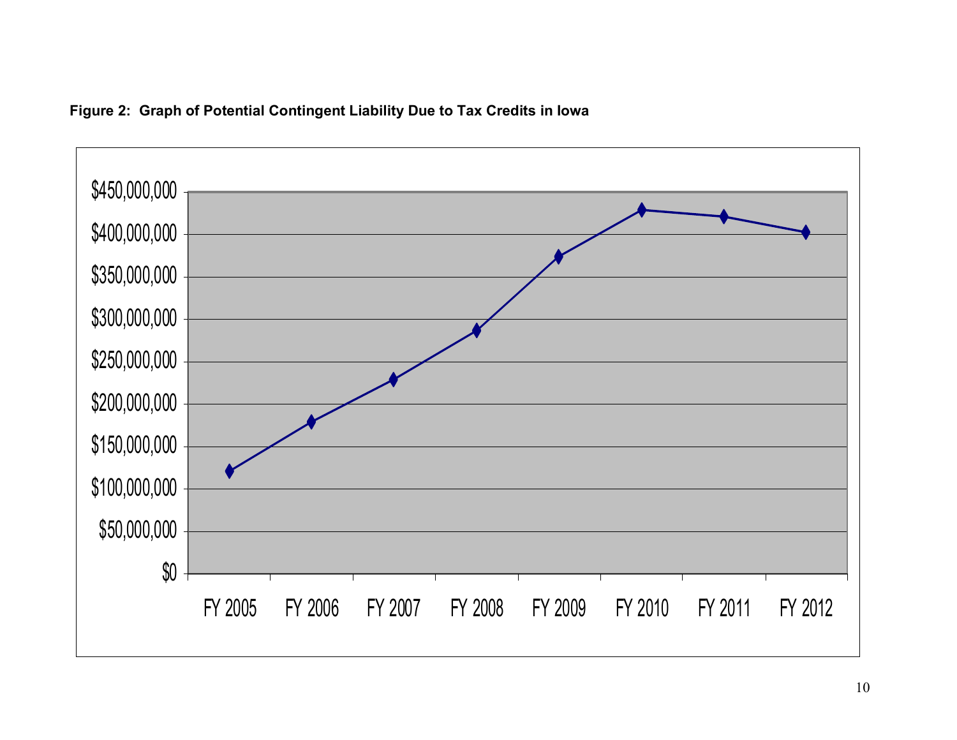

# **Figure 2: Graph of Potential Contingent Liability Due to Tax Credits in Iowa**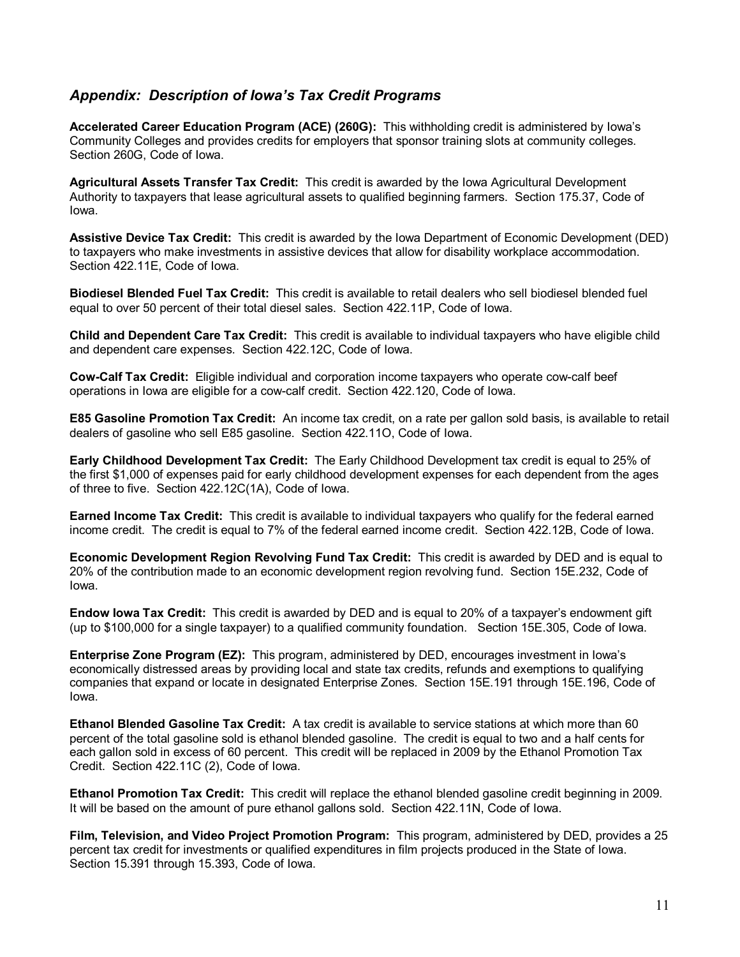#### *Appendix: Description of Iowa's Tax Credit Programs*

**Accelerated Career Education Program (ACE) (260G):** This withholding credit is administered by Iowa's Community Colleges and provides credits for employers that sponsor training slots at community colleges. Section 260G, Code of Iowa.

**Agricultural Assets Transfer Tax Credit:** This credit is awarded by the Iowa Agricultural Development Authority to taxpayers that lease agricultural assets to qualified beginning farmers. Section 175.37, Code of Iowa.

**Assistive Device Tax Credit:** This credit is awarded by the Iowa Department of Economic Development (DED) to taxpayers who make investments in assistive devices that allow for disability workplace accommodation. Section 422.11E, Code of Iowa.

**Biodiesel Blended Fuel Tax Credit:** This credit is available to retail dealers who sell biodiesel blended fuel equal to over 50 percent of their total diesel sales. Section 422.11P, Code of Iowa.

**Child and Dependent Care Tax Credit:** This credit is available to individual taxpayers who have eligible child and dependent care expenses. Section 422.12C, Code of Iowa.

**Cow-Calf Tax Credit:** Eligible individual and corporation income taxpayers who operate cow-calf beef operations in Iowa are eligible for a cow-calf credit. Section 422.120, Code of Iowa.

**E85 Gasoline Promotion Tax Credit:** An income tax credit, on a rate per gallon sold basis, is available to retail dealers of gasoline who sell E85 gasoline. Section 422.11O, Code of Iowa.

**Early Childhood Development Tax Credit:** The Early Childhood Development tax credit is equal to 25% of the first \$1,000 of expenses paid for early childhood development expenses for each dependent from the ages of three to five. Section 422.12C(1A), Code of Iowa.

**Earned Income Tax Credit:** This credit is available to individual taxpayers who qualify for the federal earned income credit. The credit is equal to 7% of the federal earned income credit. Section 422.12B, Code of Iowa.

**Economic Development Region Revolving Fund Tax Credit:** This credit is awarded by DED and is equal to 20% of the contribution made to an economic development region revolving fund. Section 15E.232, Code of Iowa.

**Endow Iowa Tax Credit:** This credit is awarded by DED and is equal to 20% of a taxpayer's endowment gift (up to \$100,000 for a single taxpayer) to a qualified community foundation. Section 15E.305, Code of Iowa.

**Enterprise Zone Program (EZ):** This program, administered by DED, encourages investment in Iowa's economically distressed areas by providing local and state tax credits, refunds and exemptions to qualifying companies that expand or locate in designated Enterprise Zones. Section 15E.191 through 15E.196, Code of Iowa.

**Ethanol Blended Gasoline Tax Credit:** A tax credit is available to service stations at which more than 60 percent of the total gasoline sold is ethanol blended gasoline. The credit is equal to two and a half cents for each gallon sold in excess of 60 percent. This credit will be replaced in 2009 by the Ethanol Promotion Tax Credit. Section 422.11C (2), Code of Iowa.

**Ethanol Promotion Tax Credit:** This credit will replace the ethanol blended gasoline credit beginning in 2009. It will be based on the amount of pure ethanol gallons sold. Section 422.11N, Code of Iowa.

**Film, Television, and Video Project Promotion Program:** This program, administered by DED, provides a 25 percent tax credit for investments or qualified expenditures in film projects produced in the State of Iowa. Section 15.391 through 15.393, Code of Iowa.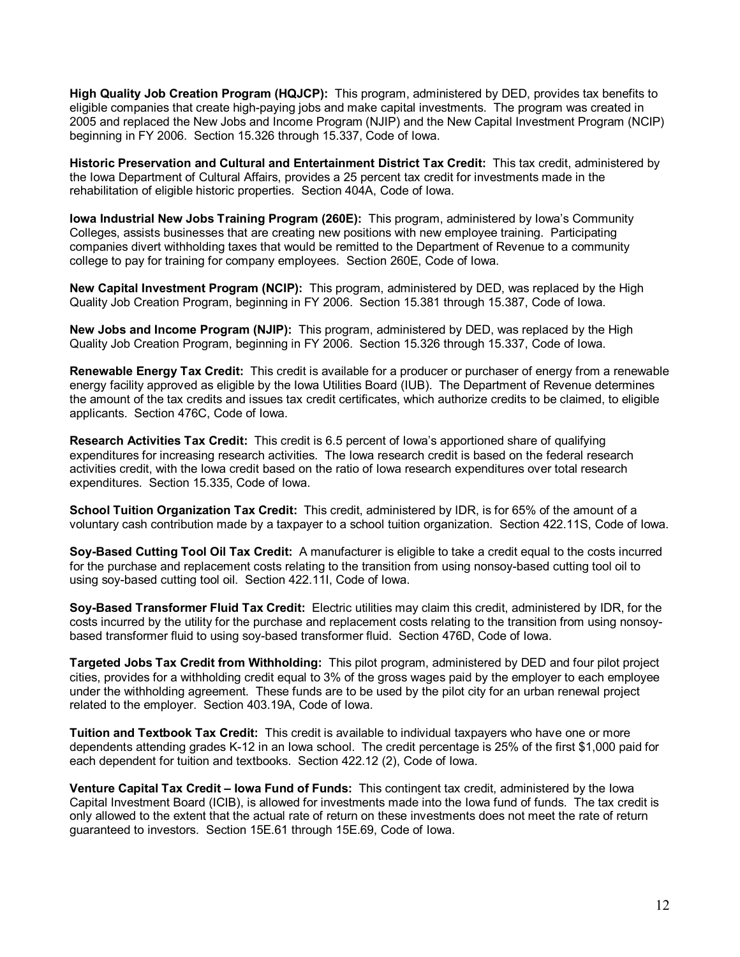**High Quality Job Creation Program (HQJCP):** This program, administered by DED, provides tax benefits to eligible companies that create high-paying jobs and make capital investments. The program was created in 2005 and replaced the New Jobs and Income Program (NJIP) and the New Capital Investment Program (NCIP) beginning in FY 2006. Section 15.326 through 15.337, Code of Iowa.

**Historic Preservation and Cultural and Entertainment District Tax Credit:** This tax credit, administered by the Iowa Department of Cultural Affairs, provides a 25 percent tax credit for investments made in the rehabilitation of eligible historic properties. Section 404A, Code of Iowa.

**Iowa Industrial New Jobs Training Program (260E):** This program, administered by Iowa's Community Colleges, assists businesses that are creating new positions with new employee training. Participating companies divert withholding taxes that would be remitted to the Department of Revenue to a community college to pay for training for company employees. Section 260E, Code of Iowa.

**New Capital Investment Program (NCIP):** This program, administered by DED, was replaced by the High Quality Job Creation Program, beginning in FY 2006. Section 15.381 through 15.387, Code of Iowa.

**New Jobs and Income Program (NJIP):** This program, administered by DED, was replaced by the High Quality Job Creation Program, beginning in FY 2006. Section 15.326 through 15.337, Code of Iowa.

**Renewable Energy Tax Credit:** This credit is available for a producer or purchaser of energy from a renewable energy facility approved as eligible by the Iowa Utilities Board (IUB). The Department of Revenue determines the amount of the tax credits and issues tax credit certificates, which authorize credits to be claimed, to eligible applicants. Section 476C, Code of Iowa.

**Research Activities Tax Credit:** This credit is 6.5 percent of Iowa's apportioned share of qualifying expenditures for increasing research activities. The Iowa research credit is based on the federal research activities credit, with the Iowa credit based on the ratio of Iowa research expenditures over total research expenditures. Section 15.335, Code of Iowa.

**School Tuition Organization Tax Credit:** This credit, administered by IDR, is for 65% of the amount of a voluntary cash contribution made by a taxpayer to a school tuition organization. Section 422.11S, Code of Iowa.

**Soy-Based Cutting Tool Oil Tax Credit:** A manufacturer is eligible to take a credit equal to the costs incurred for the purchase and replacement costs relating to the transition from using nonsoy-based cutting tool oil to using soy-based cutting tool oil. Section 422.11I, Code of Iowa.

**Soy-Based Transformer Fluid Tax Credit:** Electric utilities may claim this credit, administered by IDR, for the costs incurred by the utility for the purchase and replacement costs relating to the transition from using nonsoybased transformer fluid to using soy-based transformer fluid. Section 476D, Code of Iowa.

**Targeted Jobs Tax Credit from Withholding:** This pilot program, administered by DED and four pilot project cities, provides for a withholding credit equal to 3% of the gross wages paid by the employer to each employee under the withholding agreement. These funds are to be used by the pilot city for an urban renewal project related to the employer. Section 403.19A, Code of Iowa.

**Tuition and Textbook Tax Credit:** This credit is available to individual taxpayers who have one or more dependents attending grades K-12 in an Iowa school. The credit percentage is 25% of the first \$1,000 paid for each dependent for tuition and textbooks. Section 422.12 (2), Code of Iowa.

**Venture Capital Tax Credit – Iowa Fund of Funds:** This contingent tax credit, administered by the Iowa Capital Investment Board (ICIB), is allowed for investments made into the Iowa fund of funds. The tax credit is only allowed to the extent that the actual rate of return on these investments does not meet the rate of return guaranteed to investors. Section 15E.61 through 15E.69, Code of Iowa.